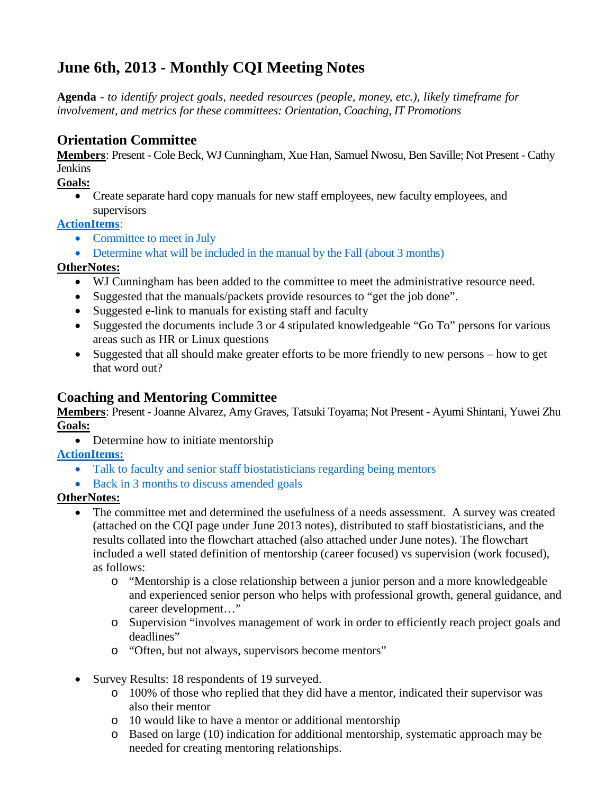# **June 6th, 2013 - Monthly CQI Meeting Notes**

**Agenda** - *to identify project goals, needed resources (people, money, etc.), likely timeframe for involvement, and metrics for these committees: Orientation, Coaching, IT Promotions*

# **Orientation Committee**

**Members**: Present - Cole Beck, WJ Cunningham, Xue Han, Samuel Nwosu, Ben Saville; Not Present - Cathy **Jenkins** 

#### **Goals:**

• Create separate hard copy manuals for new staff employees, new faculty employees, and supervisors

### **ActionItems**:

- Committee to meet in July
- Determine what will be included in the manual by the Fall (about 3 months)

### **OtherNotes:**

- WJ Cunningham has been added to the committee to meet the administrative resource need.
- Suggested that the manuals/packets provide resources to "get the job done".
- Suggested e-link to manuals for existing staff and faculty
- Suggested the documents include 3 or 4 stipulated knowledgeable "Go To" persons for various areas such as HR or Linux questions
- Suggested that all should make greater efforts to be more friendly to new persons how to get that word out?

### **Coaching and Mentoring Committee**

**Members**: Present -Joanne Alvarez, Amy Graves, Tatsuki Toyama; Not Present - Ayumi Shintani, Yuwei Zhu **Goals:**

• Determine how to initiate mentorship

**ActionItems:**

- Talk to faculty and senior staff biostatisticians regarding being mentors
- Back in 3 months to discuss amended goals

### **OtherNotes:**

- The committee met and determined the usefulness of a needs assessment. A survey was created (attached on the CQI page under June 2013 notes), distributed to staff biostatisticians, and the results collated into the flowchart attached (also attached under June notes). The flowchart included a well stated definition of mentorship (career focused) vs supervision (work focused), as follows:
	- o "Mentorship is a close relationship between a junior person and a more knowledgeable and experienced senior person who helps with professional growth, general guidance, and career development…"
	- o Supervision "involves management of work in order to efficiently reach project goals and deadlines"
	- o "Often, but not always, supervisors become mentors"
- Survey Results: 18 respondents of 19 surveyed.
	- o 100% of those who replied that they did have a mentor, indicated their supervisor was also their mentor
	- o 10 would like to have a mentor or additional mentorship
	- o Based on large (10) indication for additional mentorship, systematic approach may be needed for creating mentoring relationships.